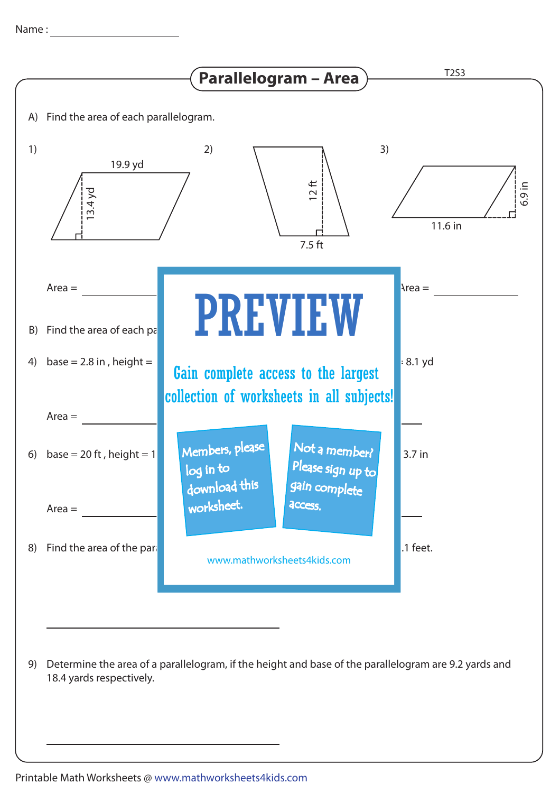

Determine the area of a parallelogram, if the height and base of the parallelogram are 9.2 yards and 9) 18.4 yards respectively.